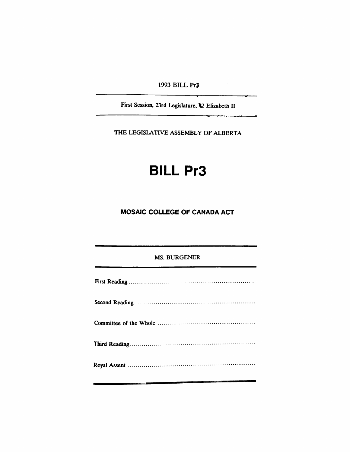1993 BILL Pr<sub>3</sub>

 $\sim$ 

First Session, 23rd Legislature. <sup>12</sup> Elizabeth II

THE LEGISLATIVE ASSEMBLY OF ALBERTA

# BILL Pr3

## MOSAIC COLLEGE OF CANADA ACT

#### MS. BURGENER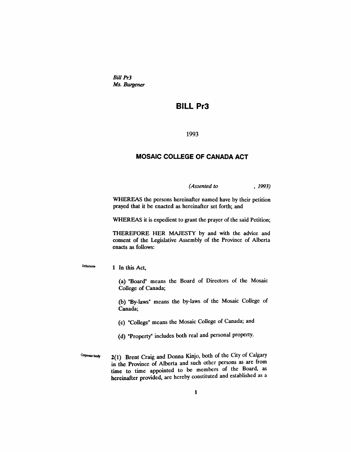Bill Pr3 *Ms. Burgener*

### **BILL Pr3**

1993

#### **MOSAIC COLLEGE OF CANADA ACT**

*(Assented to* , 1993)

WHEREAS the persons hereinafter named have by their petition prayed that it be enacted as hereinafter set forth; and

WHEREAS it is expedient to grant the prayer of the said Petition;

THEREFORE HER MAJESTY by and with the advice and consent of the Legislative Assembly of the Province of Alberta enacts as follows:

Definitione 1 In this Act,

> (a) "Board" means the Board of Directors of the Mosaic College of Canada;

> (b) "By-laws" means the by-laws of the Mosaic College of Canada;

(c) "College" means the Mosaic College of Canada; and

(d) "Property" includes both real and personal property.

Corporate body  $2(1)$  Brent Craig and Donna Kinjo, both of the City of Calgary in the Province of Alberta and such other persons as are from time to time appointed to be members of the Board, as hereinafter provided, are hereby constituted and established as a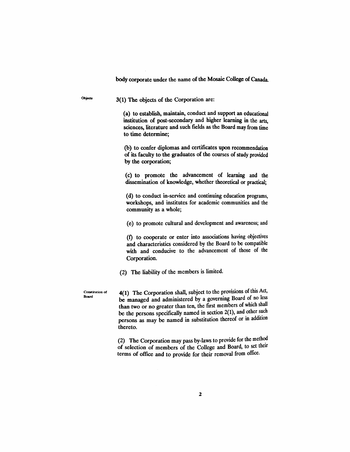body corporate under the name of the Mosaic College of Canada.

Objects 3(1) The objects of the Corporation are:

> (a) to establish, maintain, conduct and support an educational institution of post-secondary and higher learning in the arts, sciences, literature and such fields as the Board may from time to time determine;

> (b) to confer diplomas and certificates upon recommendation of its faculty to the graduates of the courses of study provided by the corporation;

> (C) to promote the advancement of learning and the dissemination of knowledge, whether theoretical or practical;

> (d) to conduct in-service and continuing education programs, workshops, and institutes for academic communities and the community as a whole;

> (e) to promote cultural and development and awareness; and

(1) to cooperate or enter into associations having objectives and characteristics considered by the Board to be compatible with and conducive to the advancement of those of the Corporation.

(2) The liability of the members is limited.

Constitution ot Board

4(1) The Corporation shall, subject to the provisions of this Act, be managed and administered by a governing Board of no less than two or no greater than ten, the frrst members of which shall be the persons specifically named in section 2(1), and other such persons as may be named in substitution thereof or in addition thereto.

(2) The Corporation may pass by-laws to provide for the method of selection of members of the College and Board, to set therr terms of office and to provide for their removal from office.